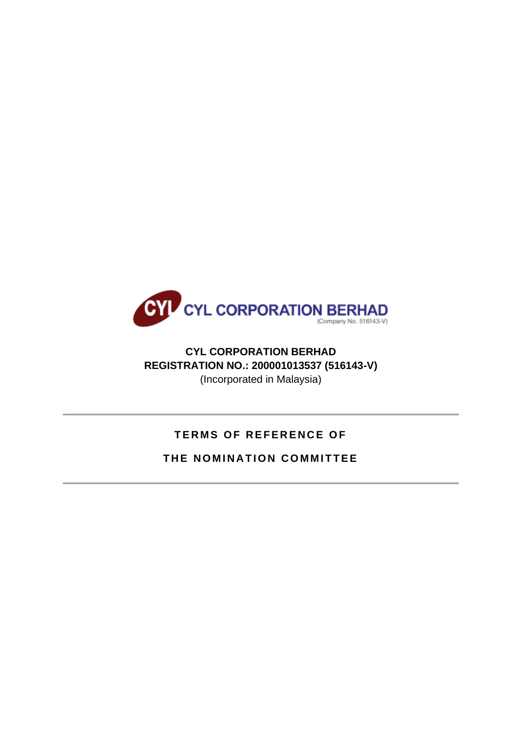

## **CYL CORPORATION BERHAD REGISTRATION NO.: 200001013537 (516143-V)** (Incorporated in Malaysia)

# **TERMS OF REFERENCE OF**

## **THE NOMINATION COMMITTEE**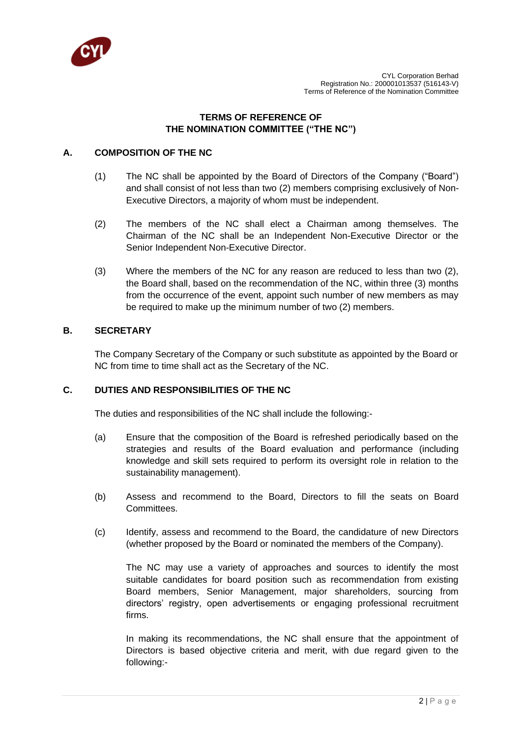

## **TERMS OF REFERENCE OF THE NOMINATION COMMITTEE ("THE NC")**

## **A. COMPOSITION OF THE NC**

- (1) The NC shall be appointed by the Board of Directors of the Company ("Board") and shall consist of not less than two (2) members comprising exclusively of Non-Executive Directors, a majority of whom must be independent.
- (2) The members of the NC shall elect a Chairman among themselves. The Chairman of the NC shall be an Independent Non-Executive Director or the Senior Independent Non-Executive Director.
- (3) Where the members of the NC for any reason are reduced to less than two (2), the Board shall, based on the recommendation of the NC, within three (3) months from the occurrence of the event, appoint such number of new members as may be required to make up the minimum number of two (2) members.

## **B. SECRETARY**

The Company Secretary of the Company or such substitute as appointed by the Board or NC from time to time shall act as the Secretary of the NC.

## **C. DUTIES AND RESPONSIBILITIES OF THE NC**

The duties and responsibilities of the NC shall include the following:-

- (a) Ensure that the composition of the Board is refreshed periodically based on the strategies and results of the Board evaluation and performance (including knowledge and skill sets required to perform its oversight role in relation to the sustainability management).
- (b) Assess and recommend to the Board, Directors to fill the seats on Board Committees.
- (c) Identify, assess and recommend to the Board, the candidature of new Directors (whether proposed by the Board or nominated the members of the Company).

The NC may use a variety of approaches and sources to identify the most suitable candidates for board position such as recommendation from existing Board members, Senior Management, major shareholders, sourcing from directors' registry, open advertisements or engaging professional recruitment firms.

In making its recommendations, the NC shall ensure that the appointment of Directors is based objective criteria and merit, with due regard given to the following:-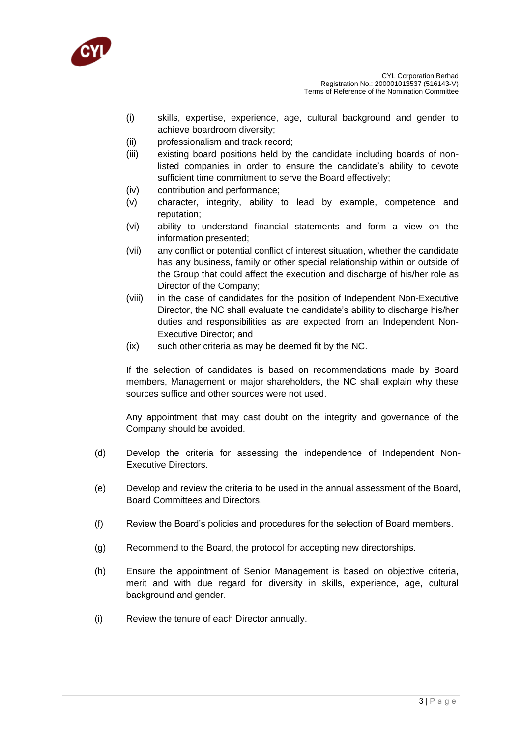

- (i) skills, expertise, experience, age, cultural background and gender to achieve boardroom diversity;
- (ii) professionalism and track record;
- (iii) existing board positions held by the candidate including boards of nonlisted companies in order to ensure the candidate's ability to devote sufficient time commitment to serve the Board effectively;
- (iv) contribution and performance;
- (v) character, integrity, ability to lead by example, competence and reputation;
- (vi) ability to understand financial statements and form a view on the information presented;
- (vii) any conflict or potential conflict of interest situation, whether the candidate has any business, family or other special relationship within or outside of the Group that could affect the execution and discharge of his/her role as Director of the Company;
- (viii) in the case of candidates for the position of Independent Non-Executive Director, the NC shall evaluate the candidate's ability to discharge his/her duties and responsibilities as are expected from an Independent Non-Executive Director; and
- (ix) such other criteria as may be deemed fit by the NC.

If the selection of candidates is based on recommendations made by Board members, Management or major shareholders, the NC shall explain why these sources suffice and other sources were not used.

Any appointment that may cast doubt on the integrity and governance of the Company should be avoided.

- (d) Develop the criteria for assessing the independence of Independent Non-Executive Directors.
- (e) Develop and review the criteria to be used in the annual assessment of the Board, Board Committees and Directors.
- (f) Review the Board's policies and procedures for the selection of Board members.
- (g) Recommend to the Board, the protocol for accepting new directorships.
- (h) Ensure the appointment of Senior Management is based on objective criteria, merit and with due regard for diversity in skills, experience, age, cultural background and gender.
- (i) Review the tenure of each Director annually.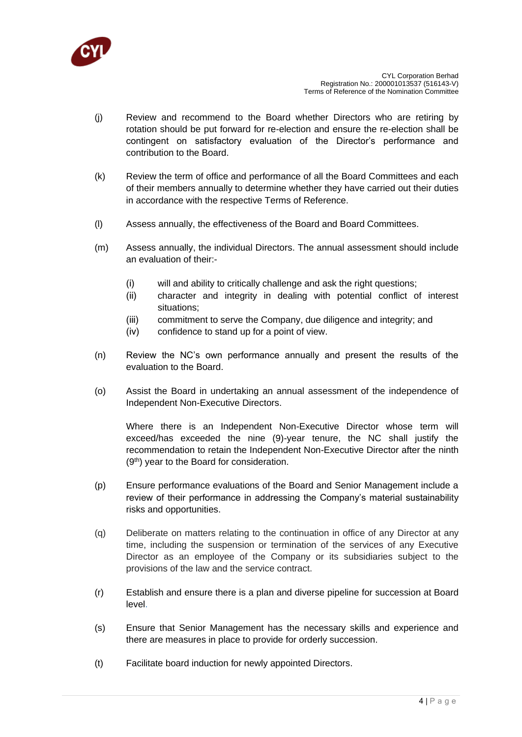

- (j) Review and recommend to the Board whether Directors who are retiring by rotation should be put forward for re-election and ensure the re-election shall be contingent on satisfactory evaluation of the Director's performance and contribution to the Board.
- (k) Review the term of office and performance of all the Board Committees and each of their members annually to determine whether they have carried out their duties in accordance with the respective Terms of Reference.
- (l) Assess annually, the effectiveness of the Board and Board Committees.
- (m) Assess annually, the individual Directors. The annual assessment should include an evaluation of their:-
	- (i) will and ability to critically challenge and ask the right questions;
	- (ii) character and integrity in dealing with potential conflict of interest situations;
	- (iii) commitment to serve the Company, due diligence and integrity; and
	- (iv) confidence to stand up for a point of view.
- (n) Review the NC's own performance annually and present the results of the evaluation to the Board.
- (o) Assist the Board in undertaking an annual assessment of the independence of Independent Non-Executive Directors.

Where there is an Independent Non-Executive Director whose term will exceed/has exceeded the nine (9)-year tenure, the NC shall justify the recommendation to retain the Independent Non-Executive Director after the ninth (9th) year to the Board for consideration.

- (p) Ensure performance evaluations of the Board and Senior Management include a review of their performance in addressing the Company's material sustainability risks and opportunities.
- (q) Deliberate on matters relating to the continuation in office of any Director at any time, including the suspension or termination of the services of any Executive Director as an employee of the Company or its subsidiaries subject to the provisions of the law and the service contract.
- (r) Establish and ensure there is a plan and diverse pipeline for succession at Board level.
- (s) Ensure that Senior Management has the necessary skills and experience and there are measures in place to provide for orderly succession.
- (t) Facilitate board induction for newly appointed Directors.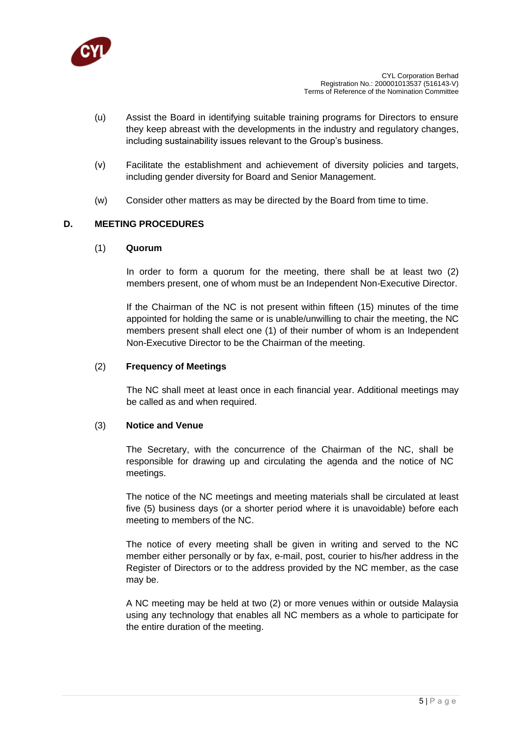

- (u) Assist the Board in identifying suitable training programs for Directors to ensure they keep abreast with the developments in the industry and regulatory changes, including sustainability issues relevant to the Group's business.
- (v) Facilitate the establishment and achievement of diversity policies and targets, including gender diversity for Board and Senior Management.
- (w) Consider other matters as may be directed by the Board from time to time.

## **D. MEETING PROCEDURES**

#### (1) **Quorum**

In order to form a quorum for the meeting, there shall be at least two (2) members present, one of whom must be an Independent Non-Executive Director.

If the Chairman of the NC is not present within fifteen (15) minutes of the time appointed for holding the same or is unable/unwilling to chair the meeting, the NC members present shall elect one (1) of their number of whom is an Independent Non-Executive Director to be the Chairman of the meeting.

#### (2) **Frequency of Meetings**

The NC shall meet at least once in each financial year. Additional meetings may be called as and when required.

#### (3) **Notice and Venue**

The Secretary, with the concurrence of the Chairman of the NC, shall be responsible for drawing up and circulating the agenda and the notice of NC meetings.

The notice of the NC meetings and meeting materials shall be circulated at least five (5) business days (or a shorter period where it is unavoidable) before each meeting to members of the NC.

The notice of every meeting shall be given in writing and served to the NC member either personally or by fax, e-mail, post, courier to his/her address in the Register of Directors or to the address provided by the NC member, as the case may be.

A NC meeting may be held at two (2) or more venues within or outside Malaysia using any technology that enables all NC members as a whole to participate for the entire duration of the meeting.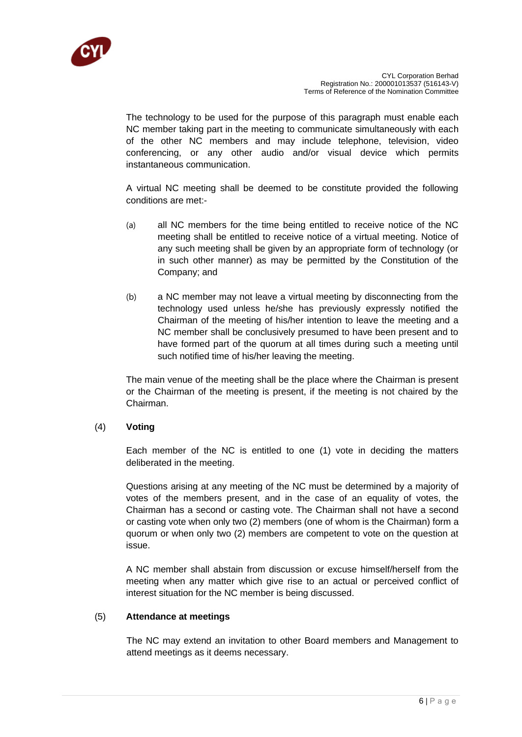

The technology to be used for the purpose of this paragraph must enable each NC member taking part in the meeting to communicate simultaneously with each of the other NC members and may include telephone, television, video conferencing, or any other audio and/or visual device which permits instantaneous communication.

A virtual NC meeting shall be deemed to be constitute provided the following conditions are met:-

- (a) all NC members for the time being entitled to receive notice of the NC meeting shall be entitled to receive notice of a virtual meeting. Notice of any such meeting shall be given by an appropriate form of technology (or in such other manner) as may be permitted by the Constitution of the Company; and
- (b) a NC member may not leave a virtual meeting by disconnecting from the technology used unless he/she has previously expressly notified the Chairman of the meeting of his/her intention to leave the meeting and a NC member shall be conclusively presumed to have been present and to have formed part of the quorum at all times during such a meeting until such notified time of his/her leaving the meeting.

The main venue of the meeting shall be the place where the Chairman is present or the Chairman of the meeting is present, if the meeting is not chaired by the Chairman.

#### (4) **Voting**

Each member of the NC is entitled to one (1) vote in deciding the matters deliberated in the meeting.

Questions arising at any meeting of the NC must be determined by a majority of votes of the members present, and in the case of an equality of votes, the Chairman has a second or casting vote. The Chairman shall not have a second or casting vote when only two (2) members (one of whom is the Chairman) form a quorum or when only two (2) members are competent to vote on the question at issue.

A NC member shall abstain from discussion or excuse himself/herself from the meeting when any matter which give rise to an actual or perceived conflict of interest situation for the NC member is being discussed.

#### (5) **Attendance at meetings**

The NC may extend an invitation to other Board members and Management to attend meetings as it deems necessary.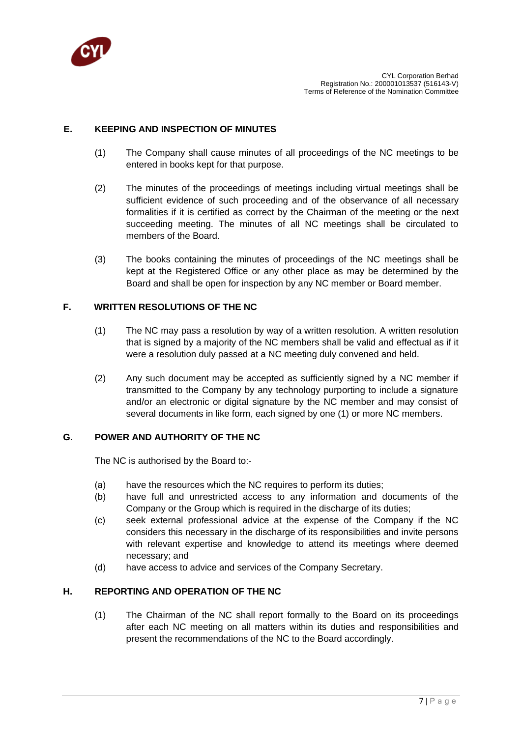

## **E. KEEPING AND INSPECTION OF MINUTES**

- (1) The Company shall cause minutes of all proceedings of the NC meetings to be entered in books kept for that purpose.
- (2) The minutes of the proceedings of meetings including virtual meetings shall be sufficient evidence of such proceeding and of the observance of all necessary formalities if it is certified as correct by the Chairman of the meeting or the next succeeding meeting. The minutes of all NC meetings shall be circulated to members of the Board.
- (3) The books containing the minutes of proceedings of the NC meetings shall be kept at the Registered Office or any other place as may be determined by the Board and shall be open for inspection by any NC member or Board member.

## **F. WRITTEN RESOLUTIONS OF THE NC**

- (1) The NC may pass a resolution by way of a written resolution. A written resolution that is signed by a majority of the NC members shall be valid and effectual as if it were a resolution duly passed at a NC meeting duly convened and held.
- (2) Any such document may be accepted as sufficiently signed by a NC member if transmitted to the Company by any technology purporting to include a signature and/or an electronic or digital signature by the NC member and may consist of several documents in like form, each signed by one (1) or more NC members.

## **G. POWER AND AUTHORITY OF THE NC**

The NC is authorised by the Board to:-

- (a) have the resources which the NC requires to perform its duties;
- (b) have full and unrestricted access to any information and documents of the Company or the Group which is required in the discharge of its duties;
- (c) seek external professional advice at the expense of the Company if the NC considers this necessary in the discharge of its responsibilities and invite persons with relevant expertise and knowledge to attend its meetings where deemed necessary; and
- (d) have access to advice and services of the Company Secretary.

## **H. REPORTING AND OPERATION OF THE NC**

(1) The Chairman of the NC shall report formally to the Board on its proceedings after each NC meeting on all matters within its duties and responsibilities and present the recommendations of the NC to the Board accordingly.